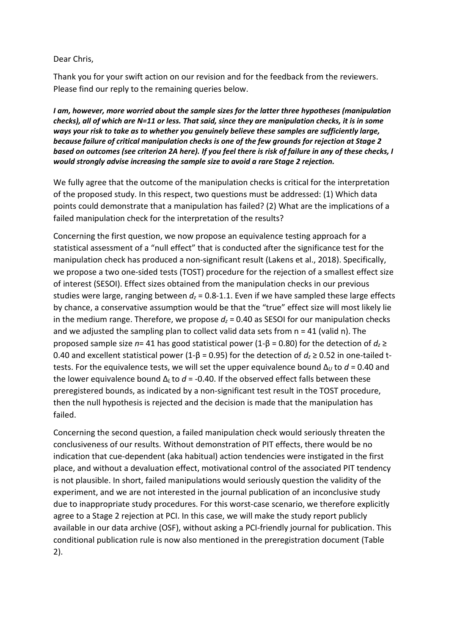## Dear Chris,

Thank you for your swift action on our revision and for the feedback from the reviewers. Please find our reply to the remaining queries below.

*I am, however, more worried about the sample sizes for the latter three hypotheses (manipulation checks), all of which are N=11 or less. That said, since they are manipulation checks, it is in some ways your risk to take as to whether you genuinely believe these samples are sufficiently large, because failure of critical manipulation checks is one of the few grounds for rejection at Stage 2 based on outcomes (see criterion 2A here). If you feel there is risk of failure in any of these checks, I would strongly advise increasing the sample size to avoid a rare Stage 2 rejection.*

We fully agree that the outcome of the manipulation checks is critical for the interpretation of the proposed study. In this respect, two questions must be addressed: (1) Which data points could demonstrate that a manipulation has failed? (2) What are the implications of a failed manipulation check for the interpretation of the results?

Concerning the first question, we now propose an equivalence testing approach for a statistical assessment of a "null effect" that is conducted after the significance test for the manipulation check has produced a non-significant result (Lakens et al., 2018). Specifically, we propose a two one-sided tests (TOST) procedure for the rejection of a smallest effect size of interest (SESOI). Effect sizes obtained from the manipulation checks in our previous studies were large, ranging between  $d_z$  = 0.8-1.1. Even if we have sampled these large effects by chance, a conservative assumption would be that the "true" effect size will most likely lie in the medium range. Therefore, we propose  $d_z$  = 0.40 as SESOI for our manipulation checks and we adjusted the sampling plan to collect valid data sets from  $n = 41$  (valid n). The proposed sample size *n*= 41 has good statistical power (1-β = 0.80) for the detection of *dz* ≥ 0.40 and excellent statistical power (1-β = 0.95) for the detection of *dz* ≥ 0.52 in one-tailed ttests. For the equivalence tests, we will set the upper equivalence bound Δ*<sup>U</sup>* to *d* = 0.40 and the lower equivalence bound Δ*L* to *d* = -0.40. If the observed effect falls between these preregistered bounds, as indicated by a non-significant test result in the TOST procedure, then the null hypothesis is rejected and the decision is made that the manipulation has failed.

Concerning the second question, a failed manipulation check would seriously threaten the conclusiveness of our results. Without demonstration of PIT effects, there would be no indication that cue-dependent (aka habitual) action tendencies were instigated in the first place, and without a devaluation effect, motivational control of the associated PIT tendency is not plausible. In short, failed manipulations would seriously question the validity of the experiment, and we are not interested in the journal publication of an inconclusive study due to inappropriate study procedures. For this worst-case scenario, we therefore explicitly agree to a Stage 2 rejection at PCI. In this case, we will make the study report publicly available in our data archive (OSF), without asking a PCI-friendly journal for publication. This conditional publication rule is now also mentioned in the preregistration document (Table 2).